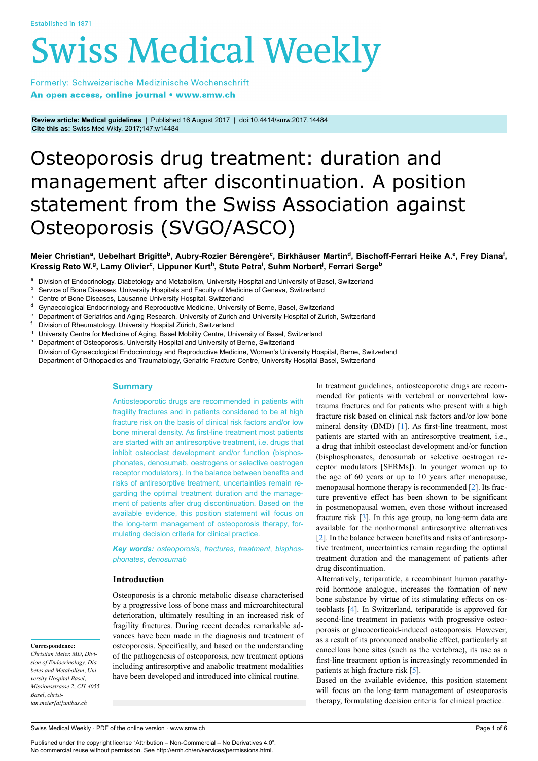# **Swiss Medical Weekly**

Formerly: Schweizerische Medizinische Wochenschrift An open access, online journal • www.smw.ch

**Review article: Medical guidelines** | Published 16 August 2017 | doi:10.4414/smw.2017.14484 **Cite this as:** Swiss Med Wkly. 2017;147:w14484

# Osteoporosis drug treatment: duration and management after discontinuation. A position statement from the Swiss Association against Osteoporosis (SVGO/ASCO)

## Meier Christianª, Uebelhart Brigitte<sup>b</sup>, Aubry-Rozier Bérengère<sup>c</sup>, Birkhäuser Martin<sup>d</sup>, Bischoff-Ferrari Heike A.º, Frey Diana<sup>f</sup>, Kressig Reto W.º, Lamy Olivier<sup>c</sup>, Lippuner Kurt<sup>h</sup>, Stute Petra<sup>i</sup>, Suhm Norbert<sup>j</sup>, Ferrari Serge<sup>b</sup>

- a Division of Endocrinology, Diabetology and Metabolism, University Hospital and University of Basel, Switzerland
- **b** Service of Bone Diseases, University Hospitals and Faculty of Medicine of Geneva, Switzerland
- <sup>c</sup> Centre of Bone Diseases, Lausanne University Hospital, Switzerland
- d Gynaecological Endocrinology and Reproductive Medicine, University of Berne, Basel, Switzerland
- <sup>e</sup> Department of Geriatrics and Aging Research, University of Zurich and University Hospital of Zurich, Switzerland
- Division of Rheumatology, University Hospital Zürich, Switzerland
- <sup>g</sup> University Centre for Medicine of Aging, Basel Mobility Centre, University of Basel, Switzerland
- h Department of Osteoporosis, University Hospital and University of Berne, Switzerland
- Division of Gynaecological Endocrinology and Reproductive Medicine, Women's University Hospital, Berne, Switzerland
- Department of Orthopaedics and Traumatology, Geriatric Fracture Centre, University Hospital Basel, Switzerland

# **Summary**

Antiosteoporotic drugs are recommended in patients with fragility fractures and in patients considered to be at high fracture risk on the basis of clinical risk factors and/or low bone mineral density. As first-line treatment most patients are started with an antiresorptive treatment, i.e. drugs that inhibit osteoclast development and/or function (bisphosphonates, denosumab, oestrogens or selective oestrogen receptor modulators). In the balance between benefits and risks of antiresorptive treatment, uncertainties remain regarding the optimal treatment duration and the management of patients after drug discontinuation. Based on the available evidence, this position statement will focus on the long-term management of osteoporosis therapy, formulating decision criteria for clinical practice.

*Key words: osteoporosis*, *fractures*, *treatment*, *bisphosphonates*, *denosumab*

### **Introduction**

Osteoporosis is a chronic metabolic disease characterised by a progressive loss of bone mass and microarchitectural deterioration, ultimately resulting in an increased risk of fragility fractures. During recent decades remarkable advances have been made in the diagnosis and treatment of osteoporosis. Specifically, and based on the understanding of the pathogenesis of osteoporosis, new treatment options including antiresorptive and anabolic treatment modalities have been developed and introduced into clinical routine.

In treatment guidelines, antiosteoporotic drugs are recommended for patients with vertebral or nonvertebral lowtrauma fractures and for patients who present with a high fracture risk based on clinical risk factors and/or low bone mineral density (BMD) [\[1\]](#page-4-0). As first-line treatment, most patients are started with an antiresorptive treatment, i.e., a drug that inhibit osteoclast development and/or function (bisphosphonates, denosumab or selective oestrogen receptor modulators [SERMs]). In younger women up to the age of 60 years or up to 10 years after menopause, menopausal hormone therapy is recommended [[2](#page-4-1)]. Its fracture preventive effect has been shown to be significant in postmenopausal women, even those without increased fracture risk [[3](#page-4-2)]. In this age group, no long-term data are available for the nonhormonal antiresorptive alternatives [\[2\]](#page-4-1). In the balance between benefits and risks of antiresorptive treatment, uncertainties remain regarding the optimal treatment duration and the management of patients after drug discontinuation.

Alternatively, teriparatide, a recombinant human parathyroid hormone analogue, increases the formation of new bone substance by virtue of its stimulating effects on osteoblasts [[4](#page-4-3)]. In Switzerland, teriparatide is approved for second-line treatment in patients with progressive osteoporosis or glucocorticoid-induced osteoporosis. However, as a result of its pronounced anabolic effect, particularly at cancellous bone sites (such as the vertebrae), its use as a first-line treatment option is increasingly recommended in patients at high fracture risk [\[5\]](#page-4-4).

Based on the available evidence, this position statement will focus on the long-term management of osteoporosis therapy, formulating decision criteria for clinical practice.

# **Correspondence:**

*Christian Meier, MD*, *Division of Endocrinology, Diabetes and Metabolism*, *University Hospital Basel*, *Missionsstrasse 2*, *CH-4055 Basel*, *christian.meier[at]unibas.ch*

Swiss Medical Weekly · PDF of the online version · www.smw.ch

Published under the copyright license "Attribution – Non-Commercial – No Derivatives 4.0". No commercial reuse without permission. See http://emh.ch/en/services/permissions.html.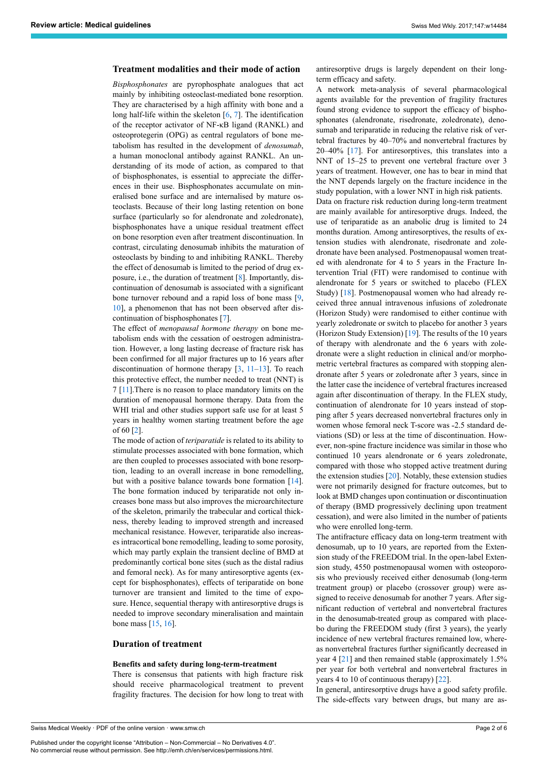#### **Treatment modalities and their mode of action**

*Bisphosphonates* are pyrophosphate analogues that act mainly by inhibiting osteoclast-mediated bone resorption. They are characterised by a high affinity with bone and a long half-life within the skeleton [[6](#page-4-5), [7](#page-4-6)]. The identification of the receptor activator of NF-κB ligand (RANKL) and osteoprotegerin (OPG) as central regulators of bone metabolism has resulted in the development of *denosumab*, a human monoclonal antibody against RANKL. An understanding of its mode of action, as compared to that of bisphosphonates, is essential to appreciate the differences in their use. Bisphosphonates accumulate on mineralised bone surface and are internalised by mature osteoclasts. Because of their long lasting retention on bone surface (particularly so for alendronate and zoledronate), bisphosphonates have a unique residual treatment effect on bone resorption even after treatment discontinuation. In contrast, circulating denosumab inhibits the maturation of osteoclasts by binding to and inhibiting RANKL. Thereby the effect of denosumab is limited to the period of drug exposure, i.e., the duration of treatment [[8](#page-4-7)]. Importantly, discontinuation of denosumab is associated with a significant bone turnover rebound and a rapid loss of bone mass [\[9,](#page-4-8) [10\]](#page-4-9), a phenomenon that has not been observed after discontinuation of bisphosphonates [\[7\]](#page-4-6).

The effect of *menopausal hormone therapy* on bone metabolism ends with the cessation of oestrogen administration. However, a long lasting decrease of fracture risk has been confirmed for all major fractures up to 16 years after discontinuation of hormone therapy  $[3, 11-13]$  $[3, 11-13]$  $[3, 11-13]$  $[3, 11-13]$  $[3, 11-13]$ . To reach this protective effect, the number needed to treat (NNT) is 7 [[11](#page-4-10)].There is no reason to place mandatory limits on the duration of menopausal hormone therapy. Data from the WHI trial and other studies support safe use for at least 5 years in healthy women starting treatment before the age of 60 [[2](#page-4-1)].

The mode of action of *teriparatide* is related to its ability to stimulate processes associated with bone formation, which are then coupled to processes associated with bone resorption, leading to an overall increase in bone remodelling, but with a positive balance towards bone formation [[14\]](#page-4-12). The bone formation induced by teriparatide not only increases bone mass but also improves the microarchitecture of the skeleton, primarily the trabecular and cortical thickness, thereby leading to improved strength and increased mechanical resistance. However, teriparatide also increases intracortical bone remodelling, leading to some porosity, which may partly explain the transient decline of BMD at predominantly cortical bone sites (such as the distal radius and femoral neck). As for many antiresorptive agents (except for bisphosphonates), effects of teriparatide on bone turnover are transient and limited to the time of exposure. Hence, sequential therapy with antiresorptive drugs is needed to improve secondary mineralisation and maintain bone mass [[15,](#page-4-13) [16](#page-4-14)].

#### **Duration of treatment**

#### **Benefits and safety during long-term-treatment**

There is consensus that patients with high fracture risk should receive pharmacological treatment to prevent fragility fractures. The decision for how long to treat with

Swiss Medical Weekly · PDF of the online version · www.smw.ch

Published under the copyright license "Attribution – Non-Commercial – No Derivatives 4.0". No commercial reuse without permission. See http://emh.ch/en/services/permissions.html.

antiresorptive drugs is largely dependent on their longterm efficacy and safety.

A network meta-analysis of several pharmacological agents available for the prevention of fragility fractures found strong evidence to support the efficacy of bisphosphonates (alendronate, risedronate, zoledronate), denosumab and teriparatide in reducing the relative risk of vertebral fractures by 40–70% and nonvertebral fractures by 20–40% [[17\]](#page-4-15). For antiresorptives, this translates into a NNT of 15–25 to prevent one vertebral fracture over 3 years of treatment. However, one has to bear in mind that the NNT depends largely on the fracture incidence in the study population, with a lower NNT in high risk patients. Data on fracture risk reduction during long-term treatment are mainly available for antiresorptive drugs. Indeed, the use of teriparatide as an anabolic drug is limited to 24 months duration. Among antiresorptives, the results of extension studies with alendronate, risedronate and zoledronate have been analysed. Postmenopausal women treated with alendronate for 4 to 5 years in the Fracture Intervention Trial (FIT) were randomised to continue with alendronate for 5 years or switched to placebo (FLEX Study) [[18\]](#page-4-16). Postmenopausal women who had already received three annual intravenous infusions of zoledronate (Horizon Study) were randomised to either continue with yearly zoledronate or switch to placebo for another 3 years (Horizon Study Extension)  $[19]$  $[19]$ . The results of the 10 years of therapy with alendronate and the 6 years with zoledronate were a slight reduction in clinical and/or morphometric vertebral fractures as compared with stopping alendronate after 5 years or zoledronate after 3 years, since in the latter case the incidence of vertebral fractures increased again after discontinuation of therapy. In the FLEX study, continuation of alendronate for 10 years instead of stopping after 5 years decreased nonvertebral fractures only in women whose femoral neck T-score was -2.5 standard deviations (SD) or less at the time of discontinuation. However, non-spine fracture incidence was similar in those who continued 10 years alendronate or 6 years zoledronate, compared with those who stopped active treatment during the extension studies  $[20]$  $[20]$ . Notably, these extension studies were not primarily designed for fracture outcomes, but to look at BMD changes upon continuation or discontinuation of therapy (BMD progressively declining upon treatment cessation), and were also limited in the number of patients who were enrolled long-term.

The antifracture efficacy data on long-term treatment with denosumab, up to 10 years, are reported from the Extension study of the FREEDOM trial. In the open-label Extension study, 4550 postmenopausal women with osteoporosis who previously received either denosumab (long-term treatment group) or placebo (crossover group) were assigned to receive denosumab for another 7 years. After significant reduction of vertebral and nonvertebral fractures in the denosumab-treated group as compared with placebo during the FREEDOM study (first 3 years), the yearly incidence of new vertebral fractures remained low, whereas nonvertebral fractures further significantly decreased in year 4 [[21\]](#page-4-19) and then remained stable (approximately 1.5% per year for both vertebral and nonvertebral fractures in years 4 to 10 of continuous therapy) [\[22](#page-4-20)].

In general, antiresorptive drugs have a good safety profile. The side-effects vary between drugs, but many are as-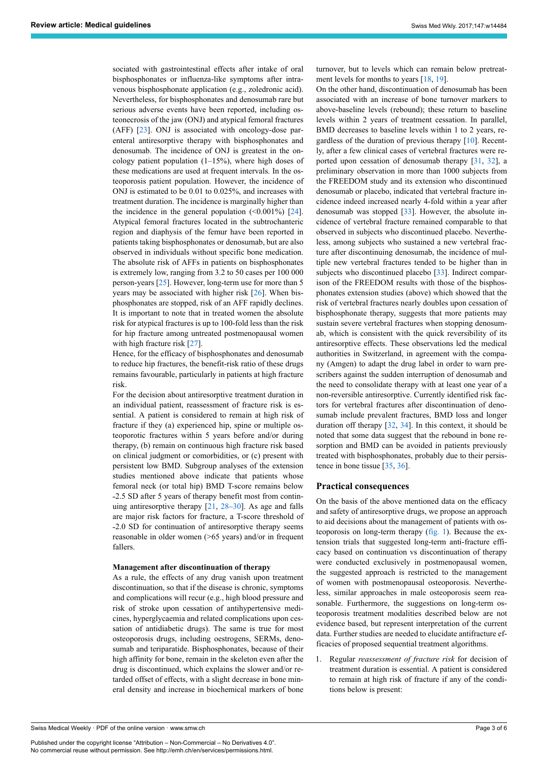sociated with gastrointestinal effects after intake of oral bisphosphonates or influenza-like symptoms after intravenous bisphosphonate application (e.g., zoledronic acid). Nevertheless, for bisphosphonates and denosumab rare but serious adverse events have been reported, including osteonecrosis of the jaw (ONJ) and atypical femoral fractures (AFF) [\[23](#page-4-21)]. ONJ is associated with oncology-dose parenteral antiresorptive therapy with bisphosphonates and denosumab. The incidence of ONJ is greatest in the oncology patient population (1–15%), where high doses of these medications are used at frequent intervals. In the osteoporosis patient population. However, the incidence of ONJ is estimated to be 0.01 to 0.025%, and increases with treatment duration. The incidence is marginally higher than the incidence in the general population  $(0.001\%)$  [[24\]](#page-4-22). Atypical femoral fractures located in the subtrochanteric region and diaphysis of the femur have been reported in patients taking bisphosphonates or denosumab, but are also observed in individuals without specific bone medication. The absolute risk of AFFs in patients on bisphosphonates is extremely low, ranging from 3.2 to 50 cases per 100 000 person‐years [[25\]](#page-4-23). However, long‐term use for more than 5 years may be associated with higher risk [[26\]](#page-4-9). When bisphosphonates are stopped, risk of an AFF rapidly declines. It is important to note that in treated women the absolute risk for atypical fractures is up to 100-fold less than the risk for hip fracture among untreated postmenopausal women with high fracture risk [\[27](#page-4-24)].

Hence, for the efficacy of bisphosphonates and denosumab to reduce hip fractures, the benefit-risk ratio of these drugs remains favourable, particularly in patients at high fracture risk.

For the decision about antiresorptive treatment duration in an individual patient, reassessment of fracture risk is essential. A patient is considered to remain at high risk of fracture if they (a) experienced hip, spine or multiple osteoporotic fractures within 5 years before and/or during therapy, (b) remain on continuous high fracture risk based on clinical judgment or comorbidities, or (c) present with persistent low BMD. Subgroup analyses of the extension studies mentioned above indicate that patients whose femoral neck (or total hip) BMD T-score remains below ˗2.5 SD after 5 years of therapy benefit most from continuing antiresorptive therapy  $[21, 28-30]$  $[21, 28-30]$  $[21, 28-30]$  $[21, 28-30]$  $[21, 28-30]$  $[21, 28-30]$ . As age and falls are major risk factors for fracture, a T-score threshold of ˗2.0 SD for continuation of antiresorptive therapy seems reasonable in older women (>65 years) and/or in frequent fallers.

#### **Management after discontinuation of therapy**

As a rule, the effects of any drug vanish upon treatment discontinuation, so that if the disease is chronic, symptoms and complications will recur (e.g., high blood pressure and risk of stroke upon cessation of antihypertensive medicines, hyperglycaemia and related complications upon cessation of antidiabetic drugs). The same is true for most osteoporosis drugs, including oestrogens, SERMs, denosumab and teriparatide. Bisphosphonates, because of their high affinity for bone, remain in the skeleton even after the drug is discontinued, which explains the slower and/or retarded offset of effects, with a slight decrease in bone mineral density and increase in biochemical markers of bone turnover, but to levels which can remain below pretreat-ment levels for months to years [[18,](#page-4-16) [19](#page-4-17)].

On the other hand, discontinuation of denosumab has been associated with an increase of bone turnover markers to above-baseline levels (rebound); these return to baseline levels within 2 years of treatment cessation. In parallel, BMD decreases to baseline levels within 1 to 2 years, regardless of the duration of previous therapy [\[10](#page-4-9)]. Recently, after a few clinical cases of vertebral fractures were reported upon cessation of denosumab therapy [\[31](#page-5-1), [32](#page-5-2)], a preliminary observation in more than 1000 subjects from the FREEDOM study and its extension who discontinued denosumab or placebo, indicated that vertebral fracture incidence indeed increased nearly 4-fold within a year after denosumab was stopped [[33\]](#page-5-3). However, the absolute incidence of vertebral fracture remained comparable to that observed in subjects who discontinued placebo. Nevertheless, among subjects who sustained a new vertebral fracture after discontinuing denosumab, the incidence of multiple new vertebral fractures tended to be higher than in subjects who discontinued placebo [\[33](#page-5-3)]. Indirect comparison of the FREEDOM results with those of the bisphosphonates extension studies (above) which showed that the risk of vertebral fractures nearly doubles upon cessation of bisphosphonate therapy, suggests that more patients may sustain severe vertebral fractures when stopping denosumab, which is consistent with the quick reversibility of its antiresorptive effects. These observations led the medical authorities in Switzerland, in agreement with the company (Amgen) to adapt the drug label in order to warn prescribers against the sudden interruption of denosumab and the need to consolidate therapy with at least one year of a non-reversible antiresorptive. Currently identified risk factors for vertebral fractures after discontinuation of denosumab include prevalent fractures, BMD loss and longer duration off therapy [[32,](#page-5-2) [34](#page-5-4)]. In this context, it should be noted that some data suggest that the rebound in bone resorption and BMD can be avoided in patients previously treated with bisphosphonates, probably due to their persistence in bone tissue [[35](#page-5-0), [36\]](#page-5-5).

#### **Practical consequences**

On the basis of the above mentioned data on the efficacy and safety of antiresorptive drugs, we propose an approach to aid decisions about the management of patients with osteoporosis on long-term therapy [\(fig.](#page-3-0) 1). Because the extension trials that suggested long-term anti-fracture efficacy based on continuation vs discontinuation of therapy were conducted exclusively in postmenopausal women, the suggested approach is restricted to the management of women with postmenopausal osteoporosis. Nevertheless, similar approaches in male osteoporosis seem reasonable. Furthermore, the suggestions on long-term osteoporosis treatment modalities described below are not evidence based, but represent interpretation of the current data. Further studies are needed to elucidate antifracture efficacies of proposed sequential treatment algorithms.

1. Regular *reassessment of fracture risk* for decision of treatment duration is essential. A patient is considered to remain at high risk of fracture if any of the conditions below is present: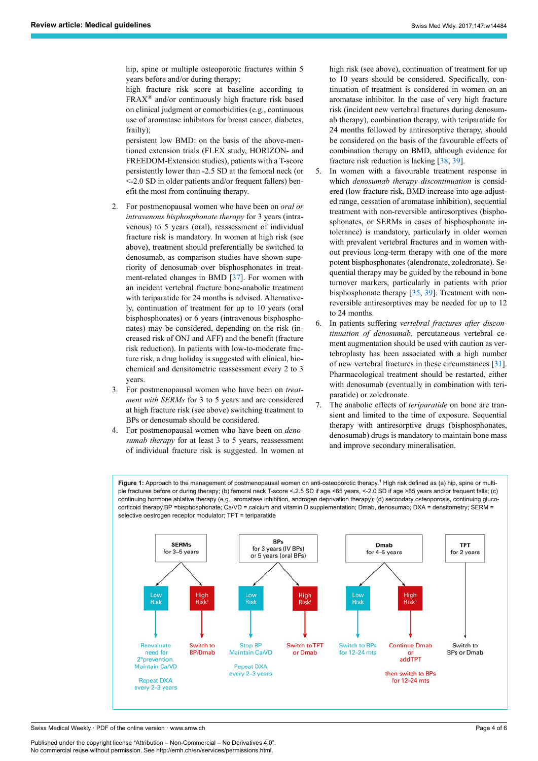hip, spine or multiple osteoporotic fractures within 5 years before and/or during therapy;

high fracture risk score at baseline according to  $FRAX^{\circledR}$  and/or continuously high fracture risk based on clinical judgment or comorbidities (e.g., continuous use of aromatase inhibitors for breast cancer, diabetes, frailty);

persistent low BMD: on the basis of the above-mentioned extension trials (FLEX study, HORIZON- and FREEDOM-Extension studies), patients with a T-score persistently lower than ˗2.5 SD at the femoral neck (or <˗2.0 SD in older patients and/or frequent fallers) benefit the most from continuing therapy.

- 2. For postmenopausal women who have been on *oral or intravenous bisphosphonate therapy* for 3 years (intravenous) to 5 years (oral), reassessment of individual fracture risk is mandatory. In women at high risk (see above), treatment should preferentially be switched to denosumab, as comparison studies have shown superiority of denosumab over bisphosphonates in treatment-related changes in BMD [\[37](#page-5-6)]. For women with an incident vertebral fracture bone-anabolic treatment with teriparatide for 24 months is advised. Alternatively, continuation of treatment for up to 10 years (oral bisphosphonates) or 6 years (intravenous bisphosphonates) may be considered, depending on the risk (increased risk of ONJ and AFF) and the benefit (fracture risk reduction). In patients with low-to-moderate fracture risk, a drug holiday is suggested with clinical, biochemical and densitometric reassessment every 2 to 3 years.
- 3. For postmenopausal women who have been on *treatment with SERMs* for 3 to 5 years and are considered at high fracture risk (see above) switching treatment to BPs or denosumab should be considered.
- 4. For postmenopausal women who have been on *denosumab therapy* for at least 3 to 5 years, reassessment of individual fracture risk is suggested. In women at

high risk (see above), continuation of treatment for up to 10 years should be considered. Specifically, continuation of treatment is considered in women on an aromatase inhibitor. In the case of very high fracture risk (incident new vertebral fractures during denosumab therapy), combination therapy, with teriparatide for 24 months followed by antiresorptive therapy, should be considered on the basis of the favourable effects of combination therapy on BMD, although evidence for fracture risk reduction is lacking [[38](#page-5-7), [39\]](#page-5-4).

- 5. In women with a favourable treatment response in which *denosumab therapy discontinuation* is considered (low fracture risk, BMD increase into age-adjusted range, cessation of aromatase inhibition), sequential treatment with non-reversible antiresorptives (bisphosphonates, or SERMs in cases of bisphosphonate intolerance) is mandatory, particularly in older women with prevalent vertebral fractures and in women without previous long-term therapy with one of the more potent bisphosphonates (alendronate, zoledronate). Sequential therapy may be guided by the rebound in bone turnover markers, particularly in patients with prior bisphosphonate therapy [\[35](#page-5-0), [39\]](#page-5-4). Treatment with nonreversible antiresorptives may be needed for up to 12 to 24 months.
- 6. In patients suffering *vertebral fractures after discontinuation of denosumab,* percutaneous vertebral cement augmentation should be used with caution as vertebroplasty has been associated with a high number of new vertebral fractures in these circumstances [\[31](#page-5-1)]. Pharmacological treatment should be restarted, either with denosumab (eventually in combination with teriparatide) or zoledronate.
- 7. The anabolic effects of *teriparatide* on bone are transient and limited to the time of exposure. Sequential therapy with antiresorptive drugs (bisphosphonates, denosumab) drugs is mandatory to maintain bone mass and improve secondary mineralisation.

<span id="page-3-0"></span>Figure 1: Approach to the management of postmenopausal women on anti-osteoporotic therapy.<sup>1</sup> High risk defined as (a) hip, spine or multiple fractures before or during therapy; (b) femoral neck T-score <-2.5 SD if age <65 years, <-2.0 SD if age >65 years and/or frequent falls; (c) continuing hormone ablative therapy (e.g., aromatase inhibition, androgen deprivation therapy); (d) secondary osteoporosis, continuing glucocorticoid therapy.BP =bisphosphonate; Ca/VD = calcium and vitamin D supplementation; Dmab, denosumab; DXA = densitometry; SERM = selective oestrogen receptor modulator; TPT = teriparatide



Swiss Medical Weekly · PDF of the online version · www.smw.ch

Published under the copyright license "Attribution – Non-Commercial – No Derivatives 4.0". No commercial reuse without permission. See http://emh.ch/en/services/permissions.html.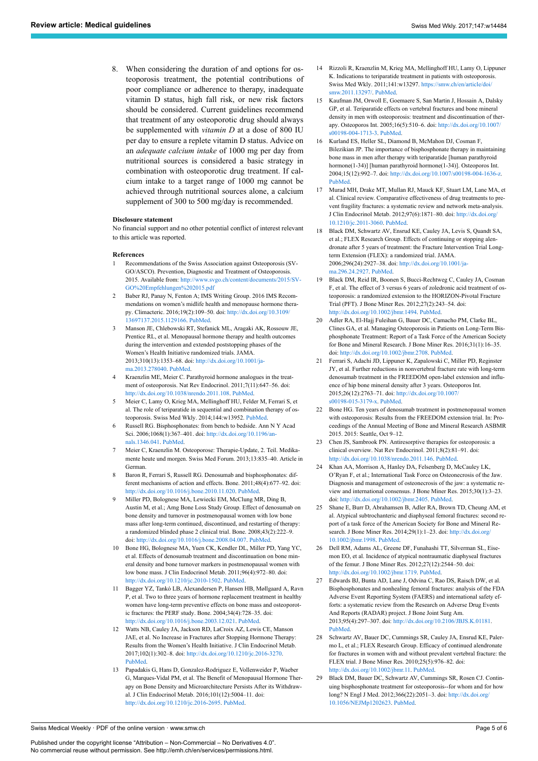<span id="page-4-14"></span><span id="page-4-13"></span><span id="page-4-12"></span>8. When considering the duration of and options for osteoporosis treatment, the potential contributions of poor compliance or adherence to therapy, inadequate vitamin D status, high fall risk, or new risk factors should be considered. Current guidelines recommend that treatment of any osteoporotic drug should always be supplemented with *vitamin D* at a dose of 800 IU per day to ensure a replete vitamin D status. Advice on an *adequate calcium intake* of 1000 mg per day from nutritional sources is considered a basic strategy in combination with osteoporotic drug treatment. If calcium intake to a target range of 1000 mg cannot be achieved through nutritional sources alone, a calcium supplement of 300 to 500 mg/day is recommended.

#### <span id="page-4-15"></span>**Disclosure statement**

<span id="page-4-16"></span>No financial support and no other potential conflict of interest relevant to this article was reported.

#### <span id="page-4-0"></span>**References**

- 1 Recommendations of the Swiss Association against Osteoporosis (SV-GO/ASCO). Prevention, Diagnostic and Treatment of Osteoporosis. 2015. Available from: [http://www.svgo.ch/content/documents/2015/SV-](http://www.svgo.ch/content/documents/2015/SVGO%20Empfehlungen%202015.pdf)[GO%20Empfehlungen%202015.pdf](http://www.svgo.ch/content/documents/2015/SVGO%20Empfehlungen%202015.pdf)
- <span id="page-4-17"></span><span id="page-4-1"></span>2 Baber RJ, Panay N, Fenton A; IMS Writing Group. 2016 IMS Recommendations on women's midlife health and menopause hormone therapy. Climacteric. 2016;19(2):109–50. doi: [http://dx.doi.org/10.3109/](http://dx.doi.org/10.3109/13697137.2015.1129166) [13697137.2015.1129166](http://dx.doi.org/10.3109/13697137.2015.1129166). [PubMed](http://www.ncbi.nlm.nih.gov/entrez/query.fcgi?cmd=Retrieve&db=PubMed&list_uids=26872610&dopt=Abstract).
- <span id="page-4-18"></span><span id="page-4-2"></span>3 Manson JE, Chlebowski RT, Stefanick ML, Aragaki AK, Rossouw JE, Prentice RL, et al. Menopausal hormone therapy and health outcomes during the intervention and extended poststopping phases of the Women's Health Initiative randomized trials. JAMA. 2013;310(13):1353–68. doi: [http://dx.doi.org/10.1001/ja](http://dx.doi.org/10.1001/jama.2013.278040)[ma.2013.278040](http://dx.doi.org/10.1001/jama.2013.278040). [PubMed.](http://www.ncbi.nlm.nih.gov/entrez/query.fcgi?cmd=Retrieve&db=PubMed&list_uids=24084921&dopt=Abstract)
- <span id="page-4-19"></span><span id="page-4-3"></span>4 Kraenzlin ME, Meier C. Parathyroid hormone analogues in the treatment of osteoporosis. Nat Rev Endocrinol. 2011;7(11):647–56. doi: [http://dx.doi.org/10.1038/nrendo.2011.108.](http://dx.doi.org/10.1038/nrendo.2011.108) [PubMed](http://www.ncbi.nlm.nih.gov/entrez/query.fcgi?cmd=Retrieve&db=PubMed&list_uids=21750510&dopt=Abstract).
- <span id="page-4-20"></span><span id="page-4-4"></span>5 Meier C, Lamy O, Krieg MA, Mellinghoff HU, Felder M, Ferrari S, et al. The role of teriparatide in sequential and combination therapy of osteoporosis. Swiss Med Wkly. 2014;144:w13952. [PubMed](http://www.ncbi.nlm.nih.gov/entrez/query.fcgi?cmd=Retrieve&db=PubMed&list_uids=24896070&dopt=Abstract).
- <span id="page-4-5"></span>6 Russell RG. Bisphosphonates: from bench to bedside. Ann N Y Acad Sci. 2006;1068(1):367–401. doi: [http://dx.doi.org/10.1196/an](http://dx.doi.org/10.1196/annals.1346.041)[nals.1346.041.](http://dx.doi.org/10.1196/annals.1346.041) [PubMed](http://www.ncbi.nlm.nih.gov/entrez/query.fcgi?cmd=Retrieve&db=PubMed&list_uids=16831938&dopt=Abstract).
- <span id="page-4-21"></span><span id="page-4-6"></span>7 Meier C, Kraenzlin M. Osteoporose: Therapie-Update, 2. Teil. Medikamente heute und morgen. Swiss Med Forum. 2013;13:835–40. Article in **German**
- <span id="page-4-22"></span><span id="page-4-7"></span>Baron R, Ferrari S, Russell RG. Denosumab and bisphosphonates: different mechanisms of action and effects. Bone. 2011;48(4):677–92. doi: <http://dx.doi.org/10.1016/j.bone.2010.11.020>. [PubMed](http://www.ncbi.nlm.nih.gov/entrez/query.fcgi?cmd=Retrieve&db=PubMed&list_uids=21145999&dopt=Abstract).
- <span id="page-4-23"></span><span id="page-4-8"></span>9 Miller PD, Bolognese MA, Lewiecki EM, McClung MR, Ding B, Austin M, et al.; Amg Bone Loss Study Group. Effect of denosumab on bone density and turnover in postmenopausal women with low bone mass after long-term continued, discontinued, and restarting of therapy: a randomized blinded phase 2 clinical trial. Bone. 2008;43(2):222–9. doi: [http://dx.doi.org/10.1016/j.bone.2008.04.007.](http://dx.doi.org/10.1016/j.bone.2008.04.007) [PubMed.](http://www.ncbi.nlm.nih.gov/entrez/query.fcgi?cmd=Retrieve&db=PubMed&list_uids=18539106&dopt=Abstract)
- <span id="page-4-9"></span>10 Bone HG, Bolognese MA, Yuen CK, Kendler DL, Miller PD, Yang YC, et al. Effects of denosumab treatment and discontinuation on bone mineral density and bone turnover markers in postmenopausal women with low bone mass. J Clin Endocrinol Metab. 2011;96(4):972–80. doi: <http://dx.doi.org/10.1210/jc.2010-1502>. [PubMed](http://www.ncbi.nlm.nih.gov/entrez/query.fcgi?cmd=Retrieve&db=PubMed&list_uids=21289258&dopt=Abstract).
- <span id="page-4-24"></span><span id="page-4-10"></span>11 Bagger YZ, Tankó LB, Alexandersen P, Hansen HB, Møllgaard A, Ravn P, et al. Two to three years of hormone replacement treatment in healthy women have long-term preventive effects on bone mass and osteoporotic fractures: the PERF study. Bone. 2004;34(4):728–35. doi: <http://dx.doi.org/10.1016/j.bone.2003.12.021>. [PubMed.](http://www.ncbi.nlm.nih.gov/entrez/query.fcgi?cmd=Retrieve&db=PubMed&list_uids=15050905&dopt=Abstract)
- 12 Watts NB, Cauley JA, Jackson RD, LaCroix AZ, Lewis CE, Manson JAE, et al. No Increase in Fractures after Stopping Hormone Therapy: Results from the Women's Health Initiative. J Clin Endocrinol Metab. 2017;102(1):302–8. doi: [http://dx.doi.org/10.1210/jc.2016-3270.](http://dx.doi.org/10.1210/jc.2016-3270) [PubMed.](http://www.ncbi.nlm.nih.gov/entrez/query.fcgi?cmd=Retrieve&db=PubMed&list_uids=27820659&dopt=Abstract)
- 13 Papadakis G, Hans D, Gonzalez-Rodriguez E, Vollenweider P, Waeber G, Marques-Vidal PM, et al. The Benefit of Menopausal Hormone Therapy on Bone Density and Microarchitecture Persists After its Withdrawal. J Clin Endocrinol Metab. 2016;101(12):5004–11. doi: <http://dx.doi.org/10.1210/jc.2016-2695>. [PubMed](http://www.ncbi.nlm.nih.gov/entrez/query.fcgi?cmd=Retrieve&db=PubMed&list_uids=27854548&dopt=Abstract).
- 14 Rizzoli R, Kraenzlin M, Krieg MA, Mellinghoff HU, Lamy O, Lippuner K. Indications to teriparatide treatment in patients with osteoporosis. Swiss Med Wkly. 2011;141:w13297. [https://smw.ch/en/article/doi/](https://smw.ch/en/article/doi/smw.2011.13297/) [smw.2011.13297/.](https://smw.ch/en/article/doi/smw.2011.13297/) [PubMed](http://www.ncbi.nlm.nih.gov/entrez/query.fcgi?cmd=Retrieve&db=PubMed&list_uids=22057669&dopt=Abstract).
- 15 Kaufman JM, Orwoll E, Goemaere S, San Martin J, Hossain A, Dalsky GP, et al. Teriparatide effects on vertebral fractures and bone mineral density in men with osteoporosis: treatment and discontinuation of therapy. Osteoporos Int. 2005;16(5):510–6. doi: [http://dx.doi.org/10.1007/](http://dx.doi.org/10.1007/s00198-004-1713-3) [s00198-004-1713-3](http://dx.doi.org/10.1007/s00198-004-1713-3). [PubMed.](http://www.ncbi.nlm.nih.gov/entrez/query.fcgi?cmd=Retrieve&db=PubMed&list_uids=15322742&dopt=Abstract)
- 16 Kurland ES, Heller SL, Diamond B, McMahon DJ, Cosman F, Bilezikian JP. The importance of bisphosphonate therapy in maintaining bone mass in men after therapy with teriparatide [human parathyroid hormone(1-34)] [human parathyroid hormone(1-34)]. Osteoporos Int. 2004;15(12):992–7. doi: <http://dx.doi.org/10.1007/s00198-004-1636-z>. [PubMed](http://www.ncbi.nlm.nih.gov/entrez/query.fcgi?cmd=Retrieve&db=PubMed&list_uids=15175844&dopt=Abstract).
- 17 Murad MH, Drake MT, Mullan RJ, Mauck KF, Stuart LM, Lane MA, et al. Clinical review. Comparative effectiveness of drug treatments to prevent fragility fractures: a systematic review and network meta-analysis. J Clin Endocrinol Metab. 2012;97(6):1871–80. doi: [http://dx.doi.org/](http://dx.doi.org/10.1210/jc.2011-3060) [10.1210/jc.2011-3060.](http://dx.doi.org/10.1210/jc.2011-3060) [PubMed.](http://www.ncbi.nlm.nih.gov/entrez/query.fcgi?cmd=Retrieve&db=PubMed&list_uids=22466336&dopt=Abstract)
- 18 Black DM, Schwartz AV, Ensrud KE, Cauley JA, Levis S, Quandt SA, et al.; FLEX Research Group. Effects of continuing or stopping alendronate after 5 years of treatment: the Fracture Intervention Trial Longterm Extension (FLEX): a randomized trial. JAMA. 2006;296(24):2927–38. doi: [http://dx.doi.org/10.1001/ja](http://dx.doi.org/10.1001/jama.296.24.2927)[ma.296.24.2927.](http://dx.doi.org/10.1001/jama.296.24.2927) [PubMed](http://www.ncbi.nlm.nih.gov/entrez/query.fcgi?cmd=Retrieve&db=PubMed&list_uids=17190893&dopt=Abstract).
- 19 Black DM, Reid IR, Boonen S, Bucci-Rechtweg C, Cauley JA, Cosman F, et al. The effect of 3 versus 6 years of zoledronic acid treatment of osteoporosis: a randomized extension to the HORIZON-Pivotal Fracture Trial (PFT). J Bone Miner Res. 2012;27(2):243–54. doi: <http://dx.doi.org/10.1002/jbmr.1494>. [PubMed.](http://www.ncbi.nlm.nih.gov/entrez/query.fcgi?cmd=Retrieve&db=PubMed&list_uids=22161728&dopt=Abstract)
- 20 Adler RA, El-Hajj Fuleihan G, Bauer DC, Camacho PM, Clarke BL, Clines GA, et al. Managing Osteoporosis in Patients on Long-Term Bisphosphonate Treatment: Report of a Task Force of the American Society for Bone and Mineral Research. J Bone Miner Res. 2016;31(1):16–35. doi: <http://dx.doi.org/10.1002/jbmr.2708>. [PubMed.](http://www.ncbi.nlm.nih.gov/entrez/query.fcgi?cmd=Retrieve&db=PubMed&list_uids=26350171&dopt=Abstract)
- 21 Ferrari S, Adachi JD, Lippuner K, Zapalowski C, Miller PD, Reginster JY, et al. Further reductions in nonvertebral fracture rate with long-term denosumab treatment in the FREEDOM open-label extension and influence of hip bone mineral density after 3 years. Osteoporos Int. 2015;26(12):2763–71. doi: [http://dx.doi.org/10.1007/](http://dx.doi.org/10.1007/s00198-015-3179-x) [s00198-015-3179-x](http://dx.doi.org/10.1007/s00198-015-3179-x). [PubMed.](http://www.ncbi.nlm.nih.gov/entrez/query.fcgi?cmd=Retrieve&db=PubMed&list_uids=26068295&dopt=Abstract)
- 22 Bone HG. Ten years of denosumab treatment in postmenopausal women with osteoporosis: Results from the FREEDOM extension trial. In: Proceedings of the Annual Meeting of Bone and Mineral Research ASBMR 2015. 2015: Seattle, Oct 9–12.
- 23 Chen JS, Sambrook PN. Antiresorptive therapies for osteoporosis: a clinical overview. Nat Rev Endocrinol. 2011;8(2):81–91. doi: <http://dx.doi.org/10.1038/nrendo.2011.146>. [PubMed](http://www.ncbi.nlm.nih.gov/entrez/query.fcgi?cmd=Retrieve&db=PubMed&list_uids=21894214&dopt=Abstract).
- 24 Khan AA, Morrison A, Hanley DA, Felsenberg D, McCauley LK, O'Ryan F, et al.; International Task Force on Osteonecrosis of the Jaw. Diagnosis and management of osteonecrosis of the jaw: a systematic review and international consensus. J Bone Miner Res. 2015;30(1):3–23. doi: <http://dx.doi.org/10.1002/jbmr.2405>. [PubMed.](http://www.ncbi.nlm.nih.gov/entrez/query.fcgi?cmd=Retrieve&db=PubMed&list_uids=25414052&dopt=Abstract)
- 25 Shane E, Burr D, Abrahamsen B, Adler RA, Brown TD, Cheung AM, et al. Atypical subtrochanteric and diaphyseal femoral fractures: second report of a task force of the American Society for Bone and Mineral Research. J Bone Miner Res. 2014;29(1):1-23. doi: [http://dx.doi.org/](http://dx.doi.org/10.1002/jbmr.1998) [10.1002/jbmr.1998.](http://dx.doi.org/10.1002/jbmr.1998) [PubMed.](http://www.ncbi.nlm.nih.gov/entrez/query.fcgi?cmd=Retrieve&db=PubMed&list_uids=23712442&dopt=Abstract)
- 26 Dell RM, Adams AL, Greene DF, Funahashi TT, Silverman SL, Eisemon EO, et al. Incidence of atypical nontraumatic diaphyseal fractures of the femur. J Bone Miner Res. 2012;27(12):2544–50. doi: <http://dx.doi.org/10.1002/jbmr.1719>. [PubMed.](http://www.ncbi.nlm.nih.gov/entrez/query.fcgi?cmd=Retrieve&db=PubMed&list_uids=22836783&dopt=Abstract)
- 27 Edwards BJ, Bunta AD, Lane J, Odvina C, Rao DS, Raisch DW, et al. Bisphosphonates and nonhealing femoral fractures: analysis of the FDA Adverse Event Reporting System (FAERS) and international safety efforts: a systematic review from the Research on Adverse Drug Events And Reports (RADAR) project. J Bone Joint Surg Am. 2013;95(4):297–307. doi: <http://dx.doi.org/10.2106/JBJS.K.01181>. [PubMed](http://www.ncbi.nlm.nih.gov/entrez/query.fcgi?cmd=Retrieve&db=PubMed&list_uids=23426763&dopt=Abstract).
- 28 Schwartz AV, Bauer DC, Cummings SR, Cauley JA, Ensrud KE, Palermo L, et al.; FLEX Research Group. Efficacy of continued alendronate for fractures in women with and without prevalent vertebral fracture: the FLEX trial. J Bone Miner Res. 2010;25(5):976–82. doi: <http://dx.doi.org/10.1002/jbmr.11>. [PubMed.](http://www.ncbi.nlm.nih.gov/entrez/query.fcgi?cmd=Retrieve&db=PubMed&list_uids=20200926&dopt=Abstract)
- 29 Black DM, Bauer DC, Schwartz AV, Cummings SR, Rosen CJ. Continuing bisphosphonate treatment for osteoporosis--for whom and for how long? N Engl J Med. 2012;366(22):2051–3. doi: [http://dx.doi.org/](http://dx.doi.org/10.1056/NEJMp1202623) [10.1056/NEJMp1202623.](http://dx.doi.org/10.1056/NEJMp1202623) [PubMed.](http://www.ncbi.nlm.nih.gov/entrez/query.fcgi?cmd=Retrieve&db=PubMed&list_uids=22571169&dopt=Abstract)

<span id="page-4-25"></span><span id="page-4-11"></span>Swiss Medical Weekly · PDF of the online version · www.smw.ch

Published under the copyright license "Attribution – Non-Commercial – No Derivatives 4.0". No commercial reuse without permission. See http://emh.ch/en/services/permissions.html.